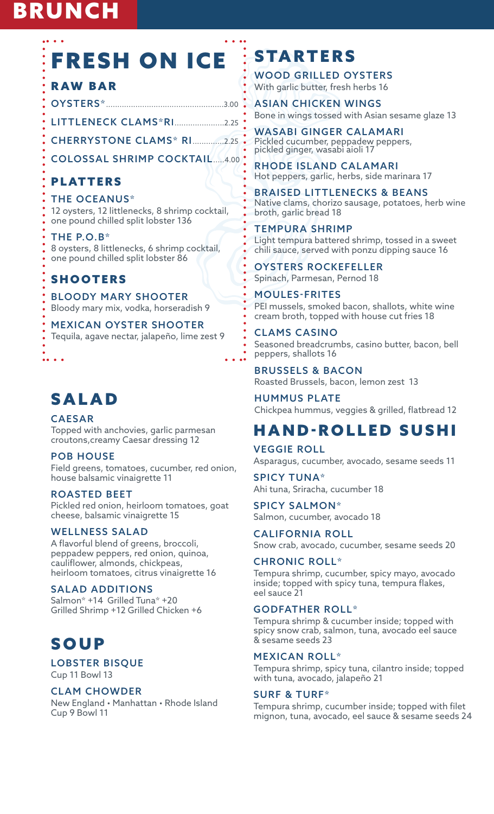# BRUNCH

# FRESH ON ICE

### RAW BAR

OYSTERS\*....................................................3.00

LITTLENECK CLAMS\*RI......................2.25

CHERRYSTONE CLAMS\* RI..............2.25

COLOSSAL SHRIMP COCKTAIL.....4.00

### PLATTERS

THE OCEANUS\* 12 oysters, 12 littlenecks, 8 shrimp cocktail, one pound chilled split lobster 136

#### THE P.O.B\*

8 oysters, 8 littlenecks, 6 shrimp cocktail, one pound chilled split lobster 86

### SHOOTERS

BLOODY MARY SHOOTER Bloody mary mix, vodka, horseradish 9

MEXICAN OYSTER SHOOTER Tequila, agave nectar, jalapeño, lime zest 9

# SALAD

. . . .

CAESAR Topped with anchovies, garlic parmesan croutons,creamy Caesar dressing 12

POB HOUSE

Field greens, tomatoes, cucumber, red onion, house balsamic vinaigrette 11

#### ROASTED BEET

Pickled red onion, heirloom tomatoes, goat cheese, balsamic vinaigrette 15

#### WELLNESS SALAD

A flavorful blend of greens, broccoli, peppadew peppers, red onion, quinoa, cauliflower, almonds, chickpeas, heirloom tomatoes, citrus vinaigrette 16

#### SALAD ADDITIONS

Salmon\* +14 Grilled Tuna\* +20 Grilled Shrimp +12 Grilled Chicken +6

# SOUP

LOBSTER BISQUE Cup 11 Bowl 13

#### CLAM CHOWDER

New England • Manhattan • Rhode Island Cup 9 Bowl 11

# **STARTERS**

WOOD GRILLED OYSTERS With garlic butter, fresh herbs 16

ASIAN CHICKEN WINGS Bone in wings tossed with Asian sesame glaze 13

WASABI GINGER CALAMARI Pickled cucumber, peppadew peppers, pickled ginger, wasabi aioli 17

RHODE ISLAND CALAMARI Hot peppers, garlic, herbs, side marinara 17

BRAISED LITTLENECKS & BEANS Native clams, chorizo sausage, potatoes, herb wine broth, garlic bread 18

#### TEMPURA SHRIMP

Light tempura battered shrimp, tossed in a sweet chili sauce, served with ponzu dipping sauce 16

OYSTERS ROCKEFELLER Spinach, Parmesan, Pernod 18

MOULES-FRITES PEI mussels, smoked bacon, shallots, white wine cream broth, topped with house cut fries 18

CLAMS CASINO Seasoned breadcrumbs, casino butter, bacon, bell peppers, shallots 16

BRUSSELS & BACON Roasted Brussels, bacon, lemon zest 13

HUMMUS PLATE Chickpea hummus, veggies & grilled, flatbread 12

# HAND-ROLLED SUSHI

VEGGIE ROLL Asparagus, cucumber, avocado, sesame seeds 11

SPICY TUNA\* Ahi tuna, Sriracha, cucumber 18

SPICY SALMON\* Salmon, cucumber, avocado 18

CALIFORNIA ROLL Snow crab, avocado, cucumber, sesame seeds 20

#### CHRONIC ROLL\*

Tempura shrimp, cucumber, spicy mayo, avocado inside; topped with spicy tuna, tempura flakes, eel sauce 21

#### GODFATHER ROLL\*

Tempura shrimp & cucumber inside; topped with spicy snow crab, salmon, tuna, avocado eel sauce & sesame seeds 23

#### MEXICAN ROLL\*

Tempura shrimp, spicy tuna, cilantro inside; topped with tuna, avocado, jalapeño 21

#### SURF & TURF\*

Tempura shrimp, cucumber inside; topped with filet mignon, tuna, avocado, eel sauce & sesame seeds 24